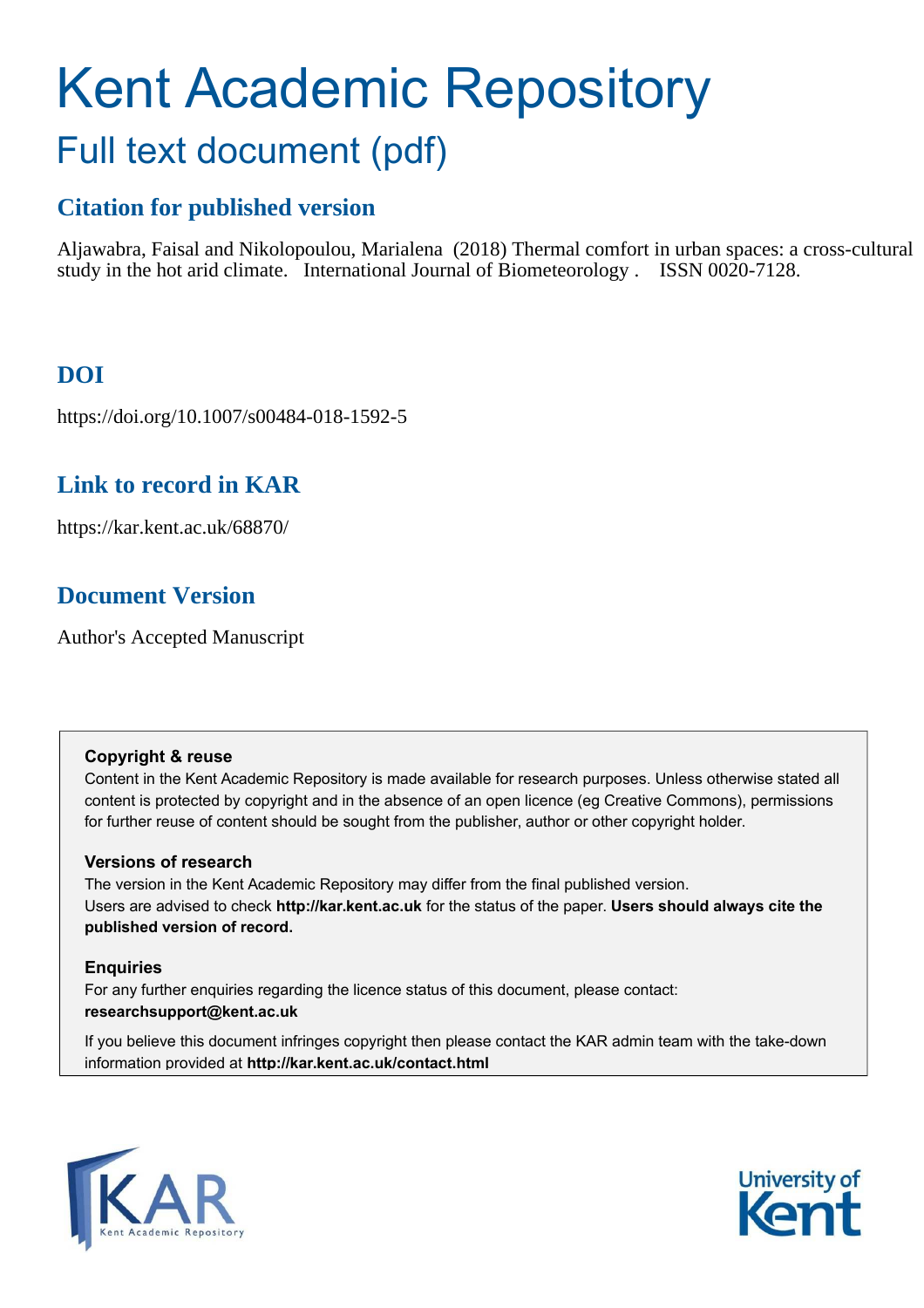# Kent Academic Repository Full text document (pdf)

# **Citation for published version**

Aljawabra, Faisal and Nikolopoulou, Marialena (2018) Thermal comfort in urban spaces: a cross-cultural study in the hot arid climate. International Journal of Biometeorology . ISSN 0020-7128.

# **DOI**

https://doi.org/10.1007/s00484-018-1592-5

# **Link to record in KAR**

https://kar.kent.ac.uk/68870/

# **Document Version**

Author's Accepted Manuscript

#### **Copyright & reuse**

Content in the Kent Academic Repository is made available for research purposes. Unless otherwise stated all content is protected by copyright and in the absence of an open licence (eg Creative Commons), permissions for further reuse of content should be sought from the publisher, author or other copyright holder.

### **Versions of research**

The version in the Kent Academic Repository may differ from the final published version. Users are advised to check **http://kar.kent.ac.uk** for the status of the paper. **Users should always cite the published version of record.**

### **Enquiries**

For any further enquiries regarding the licence status of this document, please contact: **researchsupport@kent.ac.uk**

If you believe this document infringes copyright then please contact the KAR admin team with the take-down information provided at **http://kar.kent.ac.uk/contact.html**



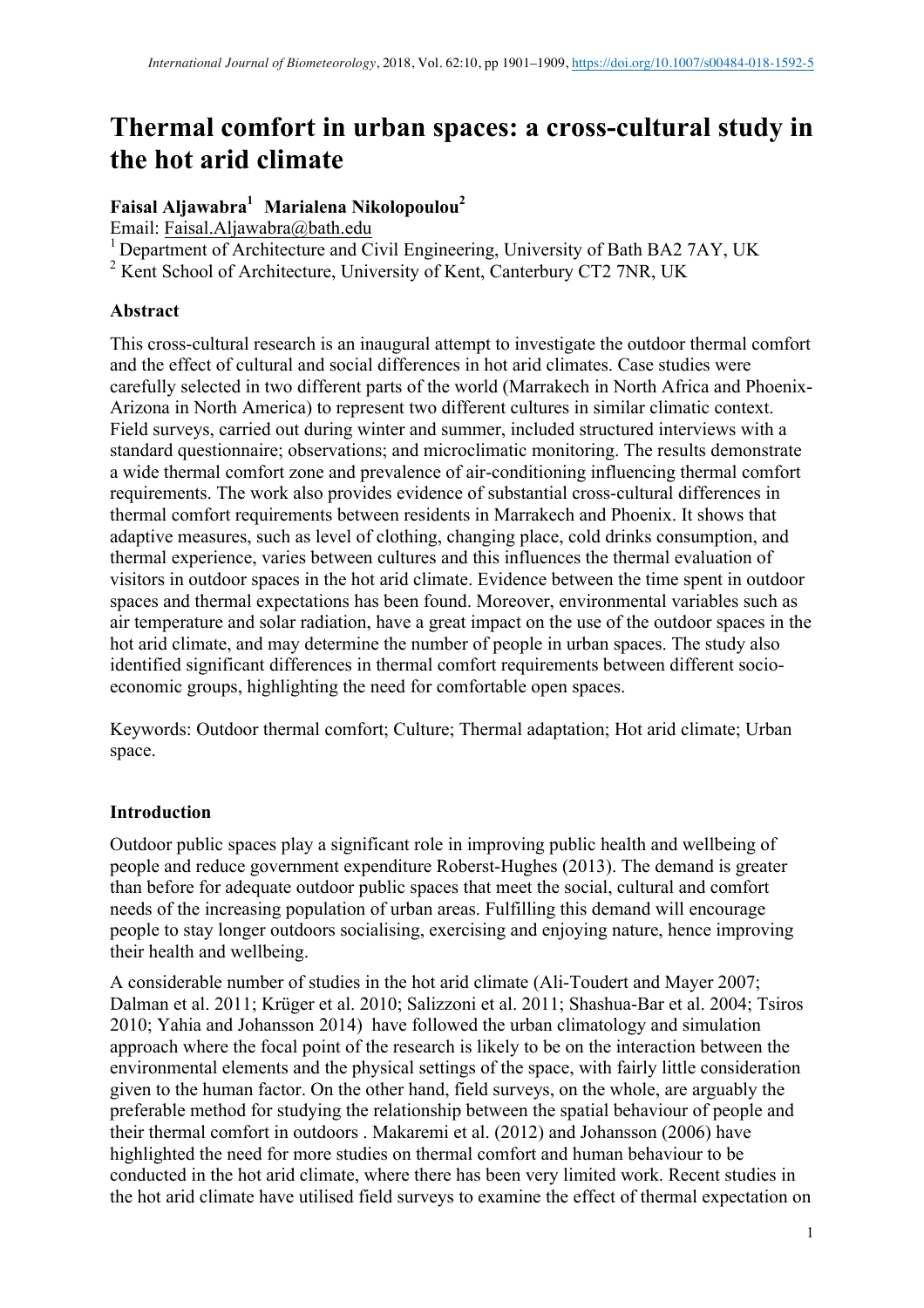# **Thermal comfort in urban spaces: a cross-cultural study in the hot arid climate**

# **Faisal Aljawabra<sup>1</sup>Marialena Nikolopoulou<sup>2</sup>**

Email: Faisal.Aljawabra@bath.edu

<sup>1</sup> Department of Architecture and Civil Engineering, University of Bath BA2 7AY, UK

<sup>2</sup> Kent School of Architecture, University of Kent, Canterbury CT2 7NR, UK

# **Abstract**

This cross-cultural research is an inaugural attempt to investigate the outdoor thermal comfort and the effect of cultural and social differences in hot arid climates. Case studies were carefully selected in two different parts of the world (Marrakech in North Africa and Phoenix-Arizona in North America) to represent two different cultures in similar climatic context. Field surveys, carried out during winter and summer, included structured interviews with a standard questionnaire; observations; and microclimatic monitoring. The results demonstrate a wide thermal comfort zone and prevalence of air-conditioning influencing thermal comfort requirements. The work also provides evidence of substantial cross-cultural differences in thermal comfort requirements between residents in Marrakech and Phoenix. It shows that adaptive measures, such as level of clothing, changing place, cold drinks consumption, and thermal experience, varies between cultures and this influences the thermal evaluation of visitors in outdoor spaces in the hot arid climate. Evidence between the time spent in outdoor spaces and thermal expectations has been found. Moreover, environmental variables such as air temperature and solar radiation, have a great impact on the use of the outdoor spaces in the hot arid climate, and may determine the number of people in urban spaces. The study also identified significant differences in thermal comfort requirements between different socioeconomic groups, highlighting the need for comfortable open spaces.

Keywords: Outdoor thermal comfort; Culture; Thermal adaptation; Hot arid climate; Urban space.

# **Introduction**

Outdoor public spaces play a significant role in improving public health and wellbeing of people and reduce government expenditure Roberst-Hughes (2013). The demand is greater than before for adequate outdoor public spaces that meet the social, cultural and comfort needs of the increasing population of urban areas. Fulfilling this demand will encourage people to stay longer outdoors socialising, exercising and enjoying nature, hence improving their health and wellbeing.

A considerable number of studies in the hot arid climate (Ali-Toudert and Mayer 2007; Dalman et al. 2011; Krüger et al. 2010; Salizzoni et al. 2011; Shashua-Bar et al. 2004; Tsiros 2010; Yahia and Johansson 2014) have followed the urban climatology and simulation approach where the focal point of the research is likely to be on the interaction between the environmental elements and the physical settings of the space, with fairly little consideration given to the human factor. On the other hand, field surveys, on the whole, are arguably the preferable method for studying the relationship between the spatial behaviour of people and their thermal comfort in outdoors . Makaremi et al. (2012) and Johansson (2006) have highlighted the need for more studies on thermal comfort and human behaviour to be conducted in the hot arid climate, where there has been very limited work. Recent studies in the hot arid climate have utilised field surveys to examine the effect of thermal expectation on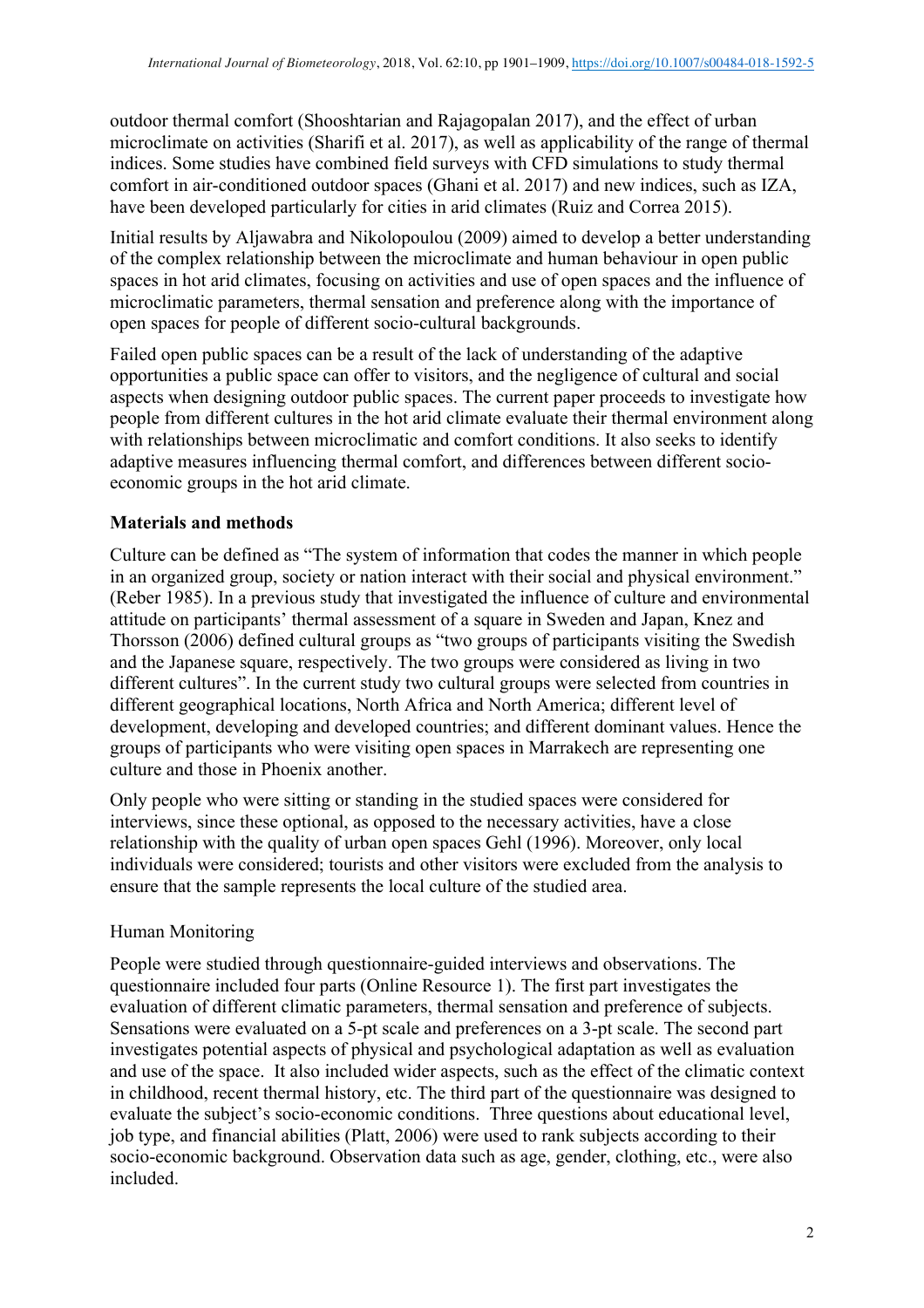outdoor thermal comfort (Shooshtarian and Rajagopalan 2017), and the effect of urban microclimate on activities (Sharifi et al. 2017), as well as applicability of the range of thermal indices. Some studies have combined field surveys with CFD simulations to study thermal comfort in air-conditioned outdoor spaces (Ghani et al. 2017) and new indices, such as IZA, have been developed particularly for cities in arid climates (Ruiz and Correa 2015).

Initial results by Aljawabra and Nikolopoulou (2009) aimed to develop a better understanding of the complex relationship between the microclimate and human behaviour in open public spaces in hot arid climates, focusing on activities and use of open spaces and the influence of microclimatic parameters, thermal sensation and preference along with the importance of open spaces for people of different socio-cultural backgrounds.

Failed open public spaces can be a result of the lack of understanding of the adaptive opportunities a public space can offer to visitors, and the negligence of cultural and social aspects when designing outdoor public spaces. The current paper proceeds to investigate how people from different cultures in the hot arid climate evaluate their thermal environment along with relationships between microclimatic and comfort conditions. It also seeks to identify adaptive measures influencing thermal comfort, and differences between different socioeconomic groups in the hot arid climate.

## **Materials and methods**

Culture can be defined as "The system of information that codes the manner in which people in an organized group, society or nation interact with their social and physical environment." (Reber 1985). In a previous study that investigated the influence of culture and environmental attitude on participants' thermal assessment of a square in Sweden and Japan, Knez and Thorsson (2006) defined cultural groups as "two groups of participants visiting the Swedish and the Japanese square, respectively. The two groups were considered as living in two different cultures". In the current study two cultural groups were selected from countries in different geographical locations, North Africa and North America; different level of development, developing and developed countries; and different dominant values. Hence the groups of participants who were visiting open spaces in Marrakech are representing one culture and those in Phoenix another.

Only people who were sitting or standing in the studied spaces were considered for interviews, since these optional, as opposed to the necessary activities, have a close relationship with the quality of urban open spaces Gehl (1996). Moreover, only local individuals were considered; tourists and other visitors were excluded from the analysis to ensure that the sample represents the local culture of the studied area.

### Human Monitoring

People were studied through questionnaire-guided interviews and observations. The questionnaire included four parts (Online Resource 1). The first part investigates the evaluation of different climatic parameters, thermal sensation and preference of subjects. Sensations were evaluated on a 5-pt scale and preferences on a 3-pt scale. The second part investigates potential aspects of physical and psychological adaptation as well as evaluation and use of the space. It also included wider aspects, such as the effect of the climatic context in childhood, recent thermal history, etc. The third part of the questionnaire was designed to evaluate the subject's socio-economic conditions. Three questions about educational level, job type, and financial abilities (Platt, 2006) were used to rank subjects according to their socio-economic background. Observation data such as age, gender, clothing, etc., were also included.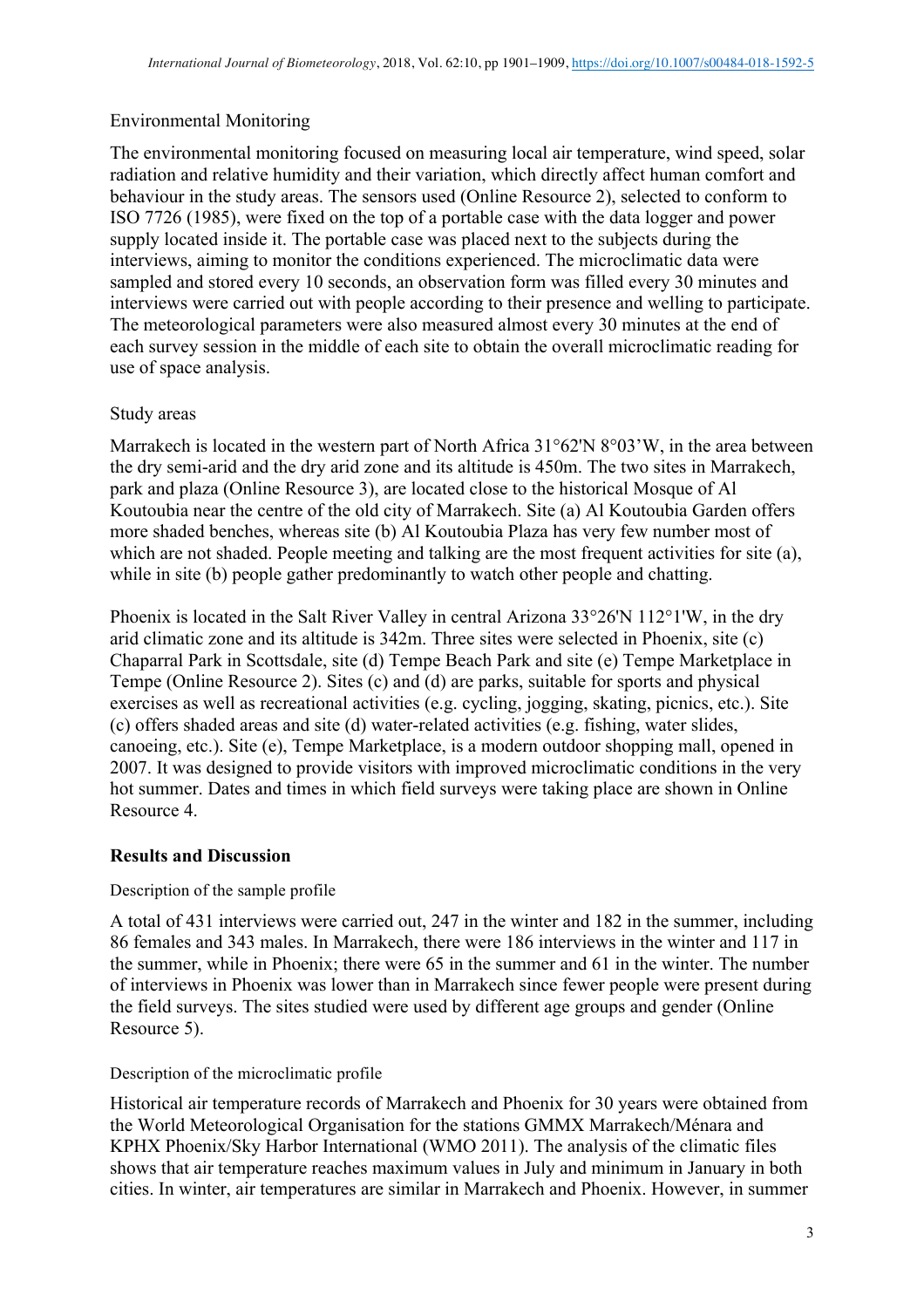# Environmental Monitoring

The environmental monitoring focused on measuring local air temperature, wind speed, solar radiation and relative humidity and their variation, which directly affect human comfort and behaviour in the study areas. The sensors used (Online Resource 2), selected to conform to ISO 7726 (1985), were fixed on the top of a portable case with the data logger and power supply located inside it. The portable case was placed next to the subjects during the interviews, aiming to monitor the conditions experienced. The microclimatic data were sampled and stored every 10 seconds, an observation form was filled every 30 minutes and interviews were carried out with people according to their presence and welling to participate. The meteorological parameters were also measured almost every 30 minutes at the end of each survey session in the middle of each site to obtain the overall microclimatic reading for use of space analysis.

## Study areas

Marrakech is located in the western part of North Africa 31°62'N 8°03'W, in the area between the dry semi-arid and the dry arid zone and its altitude is 450m. The two sites in Marrakech, park and plaza (Online Resource 3), are located close to the historical Mosque of Al Koutoubia near the centre of the old city of Marrakech. Site (a) Al Koutoubia Garden offers more shaded benches, whereas site (b) Al Koutoubia Plaza has very few number most of which are not shaded. People meeting and talking are the most frequent activities for site (a), while in site (b) people gather predominantly to watch other people and chatting.

Phoenix is located in the Salt River Valley in central Arizona 33°26'N 112°1'W, in the dry arid climatic zone and its altitude is 342m. Three sites were selected in Phoenix, site (c) Chaparral Park in Scottsdale, site (d) Tempe Beach Park and site (e) Tempe Marketplace in Tempe (Online Resource 2). Sites (c) and (d) are parks, suitable for sports and physical exercises as well as recreational activities (e.g. cycling, jogging, skating, picnics, etc.). Site (c) offers shaded areas and site (d) water-related activities (e.g. fishing, water slides, canoeing, etc.). Site (e), Tempe Marketplace, is a modern outdoor shopping mall, opened in 2007. It was designed to provide visitors with improved microclimatic conditions in the very hot summer. Dates and times in which field surveys were taking place are shown in Online Resource 4.

# **Results and Discussion**

### Description of the sample profile

A total of 431 interviews were carried out, 247 in the winter and 182 in the summer, including 86 females and 343 males. In Marrakech, there were 186 interviews in the winter and 117 in the summer, while in Phoenix; there were 65 in the summer and 61 in the winter. The number of interviews in Phoenix was lower than in Marrakech since fewer people were present during the field surveys. The sites studied were used by different age groups and gender (Online Resource 5).

Description of the microclimatic profile

Historical air temperature records of Marrakech and Phoenix for 30 years were obtained from the World Meteorological Organisation for the stations GMMX Marrakech/Ménara and KPHX Phoenix/Sky Harbor International (WMO 2011). The analysis of the climatic files shows that air temperature reaches maximum values in July and minimum in January in both cities. In winter, air temperatures are similar in Marrakech and Phoenix. However, in summer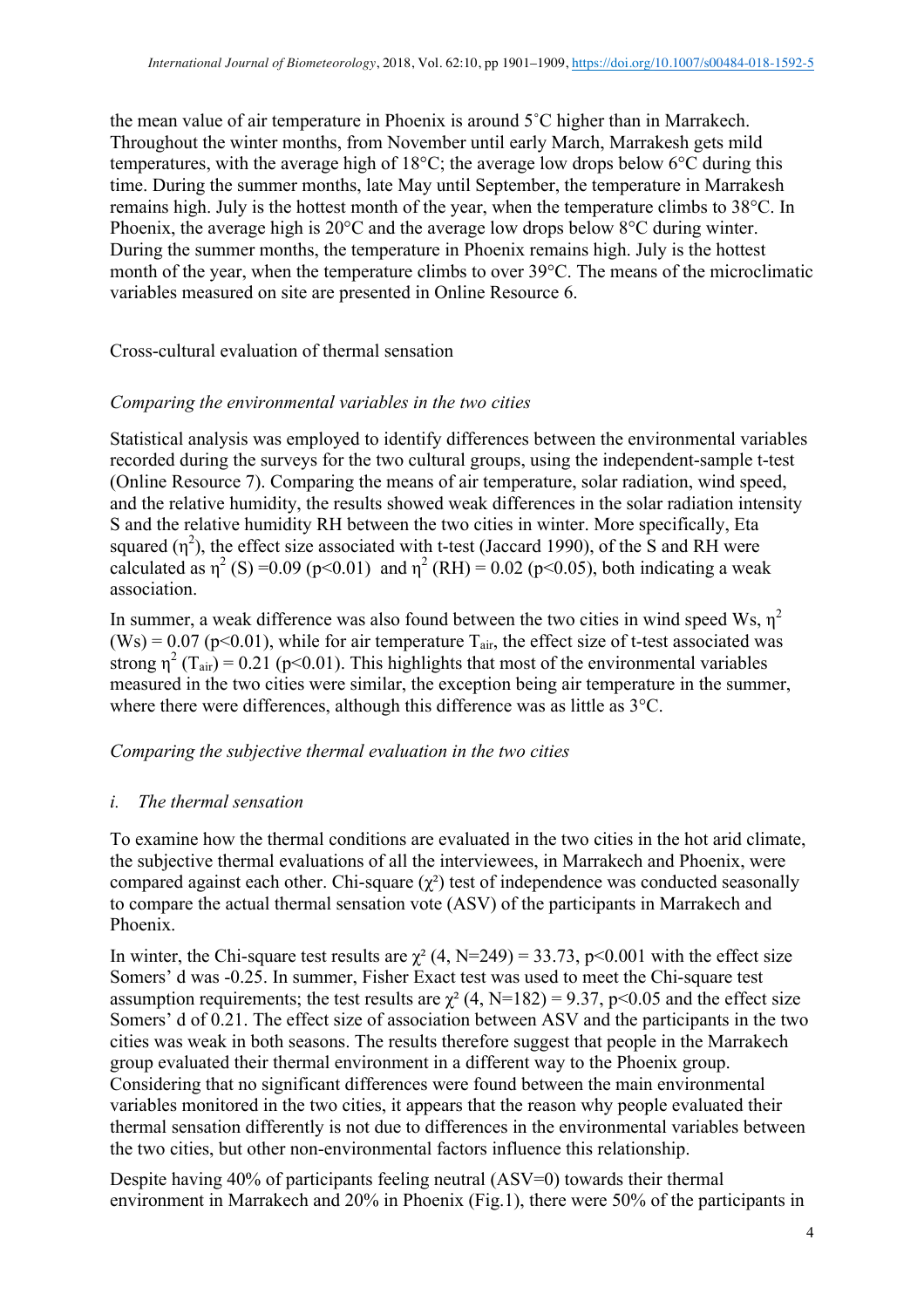the mean value of air temperature in Phoenix is around 5˚C higher than in Marrakech. Throughout the winter months, from November until early March, Marrakesh gets mild temperatures, with the average high of 18°C; the average low drops below 6°C during this time. During the summer months, late May until September, the temperature in Marrakesh remains high. July is the hottest month of the year, when the temperature climbs to 38°C. In Phoenix, the average high is 20°C and the average low drops below 8°C during winter. During the summer months, the temperature in Phoenix remains high. July is the hottest month of the year, when the temperature climbs to over 39°C. The means of the microclimatic variables measured on site are presented in Online Resource 6.

Cross-cultural evaluation of thermal sensation

### *Comparing the environmental variables in the two cities*

Statistical analysis was employed to identify differences between the environmental variables recorded during the surveys for the two cultural groups, using the independent-sample t-test (Online Resource 7). Comparing the means of air temperature, solar radiation, wind speed, and the relative humidity, the results showed weak differences in the solar radiation intensity S and the relative humidity RH between the two cities in winter. More specifically, Eta squared  $(\eta^2)$ , the effect size associated with t-test (Jaccard 1990), of the S and RH were calculated as  $\eta^2$  (S) = 0.09 (p < 0.01) and  $\eta^2$  (RH) = 0.02 (p < 0.05), both indicating a weak association.

In summer, a weak difference was also found between the two cities in wind speed Ws,  $\eta^2$ (Ws) =  $0.07$  (p<0.01), while for air temperature  $T_{air}$ , the effect size of t-test associated was strong  $\eta^2$  (T<sub>air</sub>) = 0.21 (p<0.01). This highlights that most of the environmental variables measured in the two cities were similar, the exception being air temperature in the summer, where there were differences, although this difference was as little as  $3^{\circ}$ C.

### *Comparing the subjective thermal evaluation in the two cities*

#### *i. The thermal sensation*

To examine how the thermal conditions are evaluated in the two cities in the hot arid climate, the subjective thermal evaluations of all the interviewees, in Marrakech and Phoenix, were compared against each other. Chi-square  $(\chi^2)$  test of independence was conducted seasonally to compare the actual thermal sensation vote (ASV) of the participants in Marrakech and Phoenix.

In winter, the Chi-square test results are  $\chi^2$  (4, N=249) = 33.73, p<0.001 with the effect size Somers' d was -0.25. In summer, Fisher Exact test was used to meet the Chi-square test assumption requirements; the test results are  $\chi^2$  (4, N=182) = 9.37, p<0.05 and the effect size Somers' d of 0.21. The effect size of association between ASV and the participants in the two cities was weak in both seasons. The results therefore suggest that people in the Marrakech group evaluated their thermal environment in a different way to the Phoenix group. Considering that no significant differences were found between the main environmental variables monitored in the two cities, it appears that the reason why people evaluated their thermal sensation differently is not due to differences in the environmental variables between the two cities, but other non-environmental factors influence this relationship.

Despite having 40% of participants feeling neutral (ASV=0) towards their thermal environment in Marrakech and 20% in Phoenix (Fig.1), there were 50% of the participants in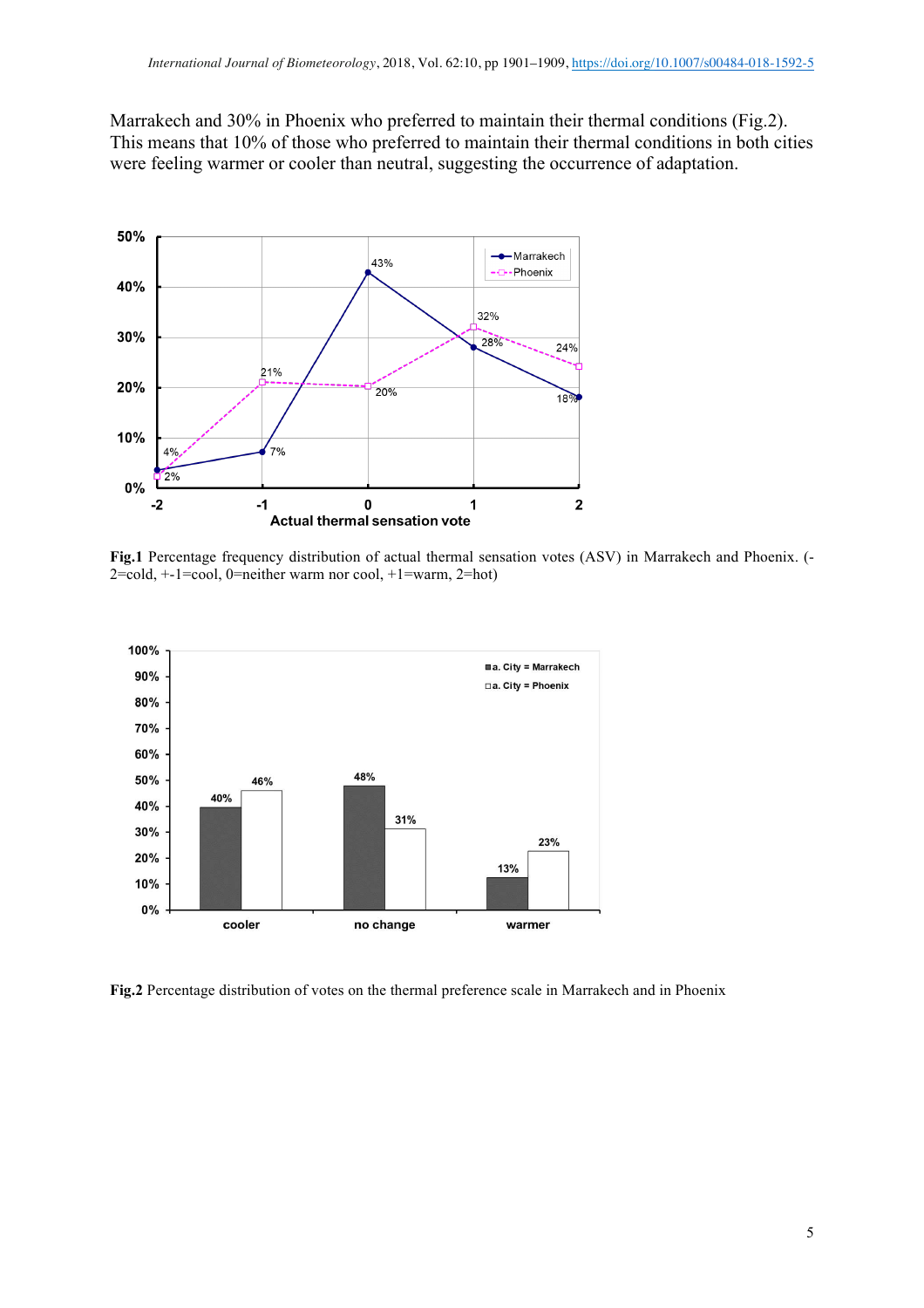Marrakech and 30% in Phoenix who preferred to maintain their thermal conditions (Fig.2). This means that 10% of those who preferred to maintain their thermal conditions in both cities were feeling warmer or cooler than neutral, suggesting the occurrence of adaptation.



**Fig.1** Percentage frequency distribution of actual thermal sensation votes (ASV) in Marrakech and Phoenix. (- 2=cold, +-1=cool, 0=neither warm nor cool, +1=warm, 2=hot)



**Fig.2** Percentage distribution of votes on the thermal preference scale in Marrakech and in Phoenix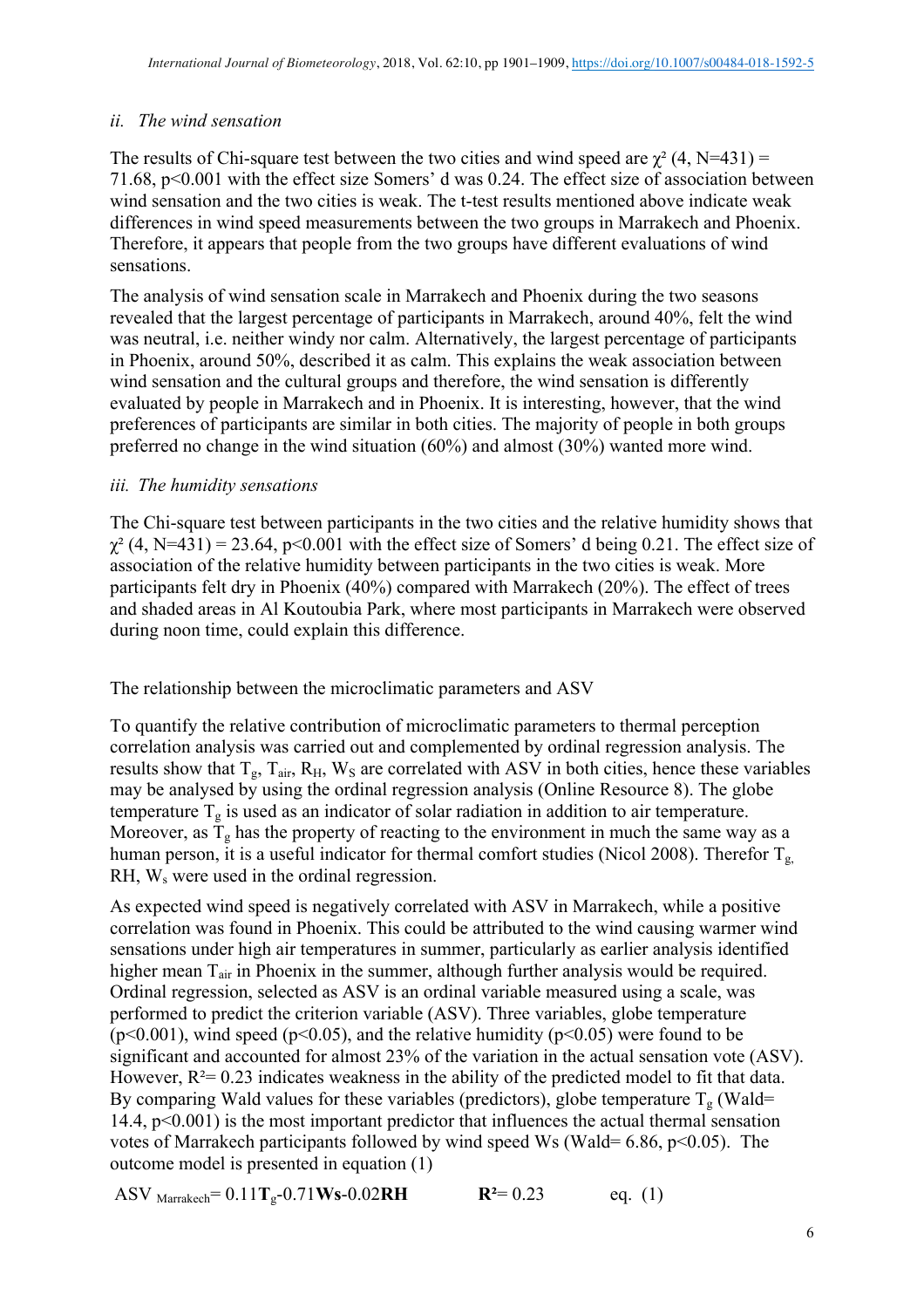## *ii. The wind sensation*

The results of Chi-square test between the two cities and wind speed are  $\chi^2$  (4, N=431) = 71.68, p<0.001 with the effect size Somers' d was 0.24. The effect size of association between wind sensation and the two cities is weak. The t-test results mentioned above indicate weak differences in wind speed measurements between the two groups in Marrakech and Phoenix. Therefore, it appears that people from the two groups have different evaluations of wind sensations.

The analysis of wind sensation scale in Marrakech and Phoenix during the two seasons revealed that the largest percentage of participants in Marrakech, around 40%, felt the wind was neutral, i.e. neither windy nor calm. Alternatively, the largest percentage of participants in Phoenix, around 50%, described it as calm. This explains the weak association between wind sensation and the cultural groups and therefore, the wind sensation is differently evaluated by people in Marrakech and in Phoenix. It is interesting, however, that the wind preferences of participants are similar in both cities. The majority of people in both groups preferred no change in the wind situation (60%) and almost (30%) wanted more wind.

### *iii. The humidity sensations*

The Chi-square test between participants in the two cities and the relative humidity shows that  $\gamma^2$  (4, N=431) = 23.64, p<0.001 with the effect size of Somers' d being 0.21. The effect size of association of the relative humidity between participants in the two cities is weak. More participants felt dry in Phoenix (40%) compared with Marrakech (20%). The effect of trees and shaded areas in Al Koutoubia Park, where most participants in Marrakech were observed during noon time, could explain this difference.

The relationship between the microclimatic parameters and ASV

To quantify the relative contribution of microclimatic parameters to thermal perception correlation analysis was carried out and complemented by ordinal regression analysis. The results show that  $T_g$ ,  $T_{air}$ ,  $R_H$ ,  $W_S$  are correlated with ASV in both cities, hence these variables may be analysed by using the ordinal regression analysis (Online Resource 8). The globe temperature  $T_g$  is used as an indicator of solar radiation in addition to air temperature. Moreover, as  $T_g$  has the property of reacting to the environment in much the same way as a human person, it is a useful indicator for thermal comfort studies (Nicol 2008). Therefor  $T_g$ , RH, W, were used in the ordinal regression.

As expected wind speed is negatively correlated with ASV in Marrakech, while a positive correlation was found in Phoenix. This could be attributed to the wind causing warmer wind sensations under high air temperatures in summer, particularly as earlier analysis identified higher mean T<sub>air</sub> in Phoenix in the summer, although further analysis would be required. Ordinal regression, selected as ASV is an ordinal variable measured using a scale, was performed to predict the criterion variable (ASV). Three variables, globe temperature  $(p<0.001)$ , wind speed  $(p<0.05)$ , and the relative humidity  $(p<0.05)$  were found to be significant and accounted for almost 23% of the variation in the actual sensation vote (ASV). However,  $R^2 = 0.23$  indicates weakness in the ability of the predicted model to fit that data. By comparing Wald values for these variables (predictors), globe temperature  $T_g$  (Wald= 14.4, p<0.001) is the most important predictor that influences the actual thermal sensation votes of Marrakech participants followed by wind speed Ws (Wald=  $6.86$ ,  $p<0.05$ ). The outcome model is presented in equation (1)

ASV 
$$
Marrakech = 0.11T_g - 0.71Ws - 0.02RH
$$
 **R**<sup>2</sup>= 0.23 eq. (1)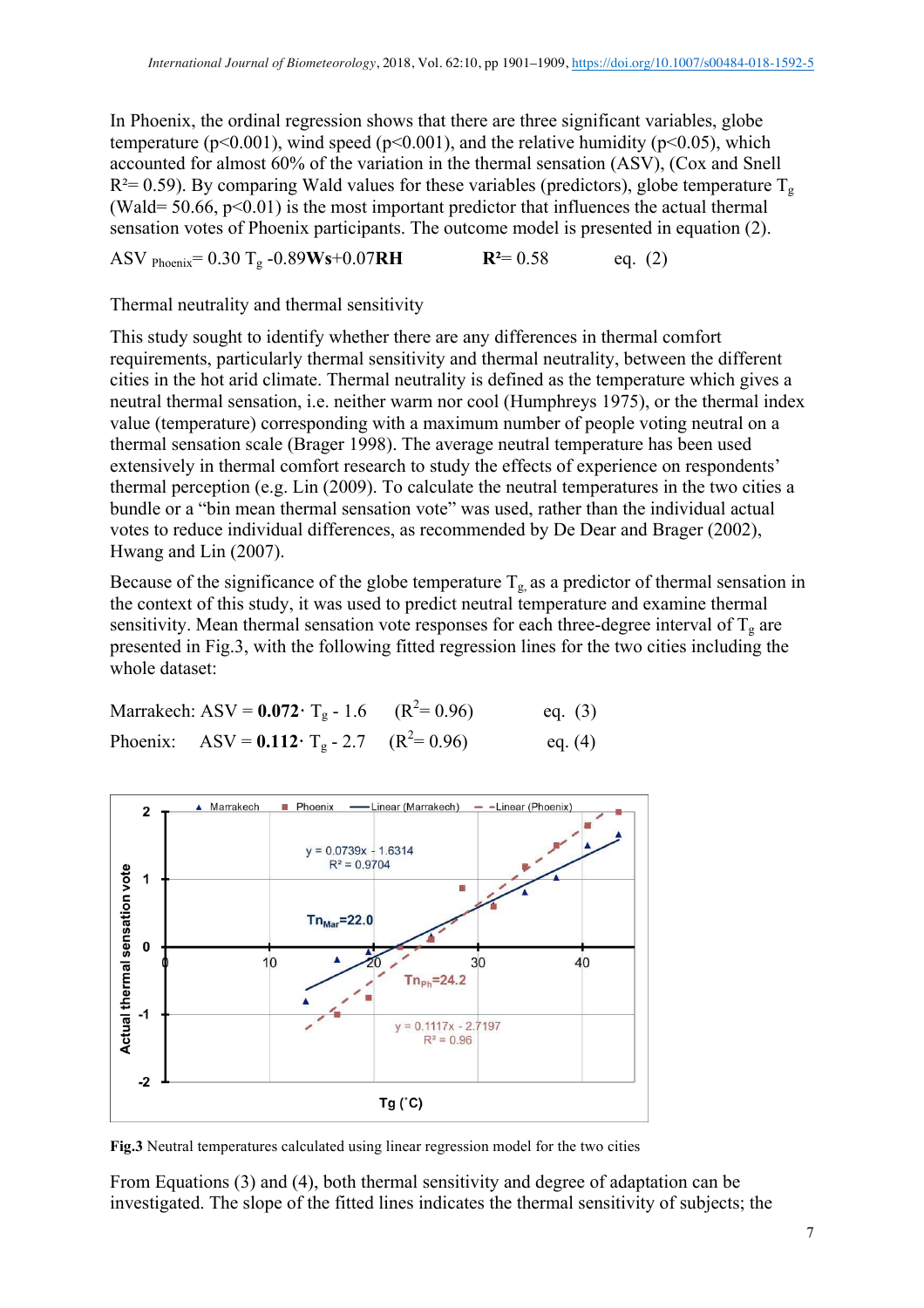In Phoenix, the ordinal regression shows that there are three significant variables, globe temperature ( $p<0.001$ ), wind speed ( $p<0.001$ ), and the relative humidity ( $p<0.05$ ), which accounted for almost 60% of the variation in the thermal sensation (ASV), (Cox and Snell  $R^2$  = 0.59). By comparing Wald values for these variables (predictors), globe temperature  $T_g$ (Wald=  $50.66$ ,  $p<0.01$ ) is the most important predictor that influences the actual thermal sensation votes of Phoenix participants. The outcome model is presented in equation (2).

ASV Phoenix= 0.30 Tg -0.89**Ws**+0.07**RH R²**= 0.58 eq. (2)

Thermal neutrality and thermal sensitivity

This study sought to identify whether there are any differences in thermal comfort requirements, particularly thermal sensitivity and thermal neutrality, between the different cities in the hot arid climate. Thermal neutrality is defined as the temperature which gives a neutral thermal sensation, i.e. neither warm nor cool (Humphreys 1975), or the thermal index value (temperature) corresponding with a maximum number of people voting neutral on a thermal sensation scale (Brager 1998). The average neutral temperature has been used extensively in thermal comfort research to study the effects of experience on respondents' thermal perception (e.g. Lin (2009). To calculate the neutral temperatures in the two cities a bundle or a "bin mean thermal sensation vote" was used, rather than the individual actual votes to reduce individual differences, as recommended by De Dear and Brager (2002), Hwang and Lin (2007).

Because of the significance of the globe temperature  $T_{g}$  as a predictor of thermal sensation in the context of this study, it was used to predict neutral temperature and examine thermal sensitivity. Mean thermal sensation vote responses for each three-degree interval of  $T_g$  are presented in Fig.3, with the following fitted regression lines for the two cities including the whole dataset:

Marrakech: ASV =  $0.072 \cdot T_g - 1.6$  (R<sup>2</sup>= 0.96) eq. (3) Phoenix: ASV =  $0.112 \cdot T_g - 2.7$  (R<sup>2</sup>= 0.96) eq. (4)



**Fig.3** Neutral temperatures calculated using linear regression model for the two cities

From Equations (3) and (4), both thermal sensitivity and degree of adaptation can be investigated. The slope of the fitted lines indicates the thermal sensitivity of subjects; the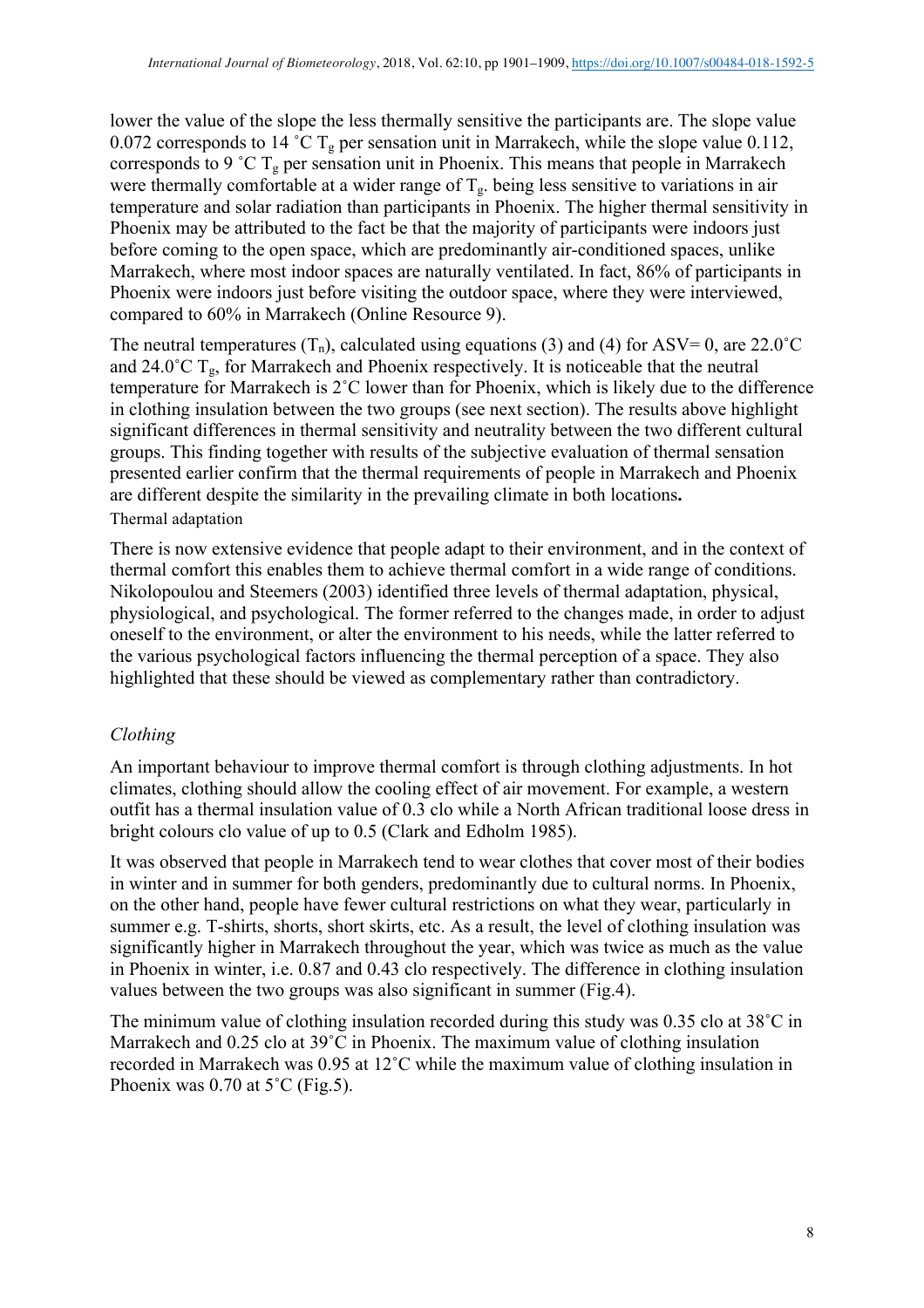lower the value of the slope the less thermally sensitive the participants are. The slope value 0.072 corresponds to 14 °C T<sub>g</sub> per sensation unit in Marrakech, while the slope value 0.112, corresponds to 9 °C  $T_g$  per sensation unit in Phoenix. This means that people in Marrakech were thermally comfortable at a wider range of  $T<sub>g</sub>$ , being less sensitive to variations in air temperature and solar radiation than participants in Phoenix. The higher thermal sensitivity in Phoenix may be attributed to the fact be that the majority of participants were indoors just before coming to the open space, which are predominantly air-conditioned spaces, unlike Marrakech, where most indoor spaces are naturally ventilated. In fact, 86% of participants in Phoenix were indoors just before visiting the outdoor space, where they were interviewed, compared to 60% in Marrakech (Online Resource 9).

The neutral temperatures  $(T_n)$ , calculated using equations (3) and (4) for ASV= 0, are 22.0<sup>°</sup>C and 24.0 $^{\circ}$ C T<sub>g</sub>, for Marrakech and Phoenix respectively. It is noticeable that the neutral temperature for Marrakech is 2˚C lower than for Phoenix, which is likely due to the difference in clothing insulation between the two groups (see next section). The results above highlight significant differences in thermal sensitivity and neutrality between the two different cultural groups. This finding together with results of the subjective evaluation of thermal sensation presented earlier confirm that the thermal requirements of people in Marrakech and Phoenix are different despite the similarity in the prevailing climate in both locations**.**  Thermal adaptation

There is now extensive evidence that people adapt to their environment, and in the context of thermal comfort this enables them to achieve thermal comfort in a wide range of conditions. Nikolopoulou and Steemers (2003) identified three levels of thermal adaptation, physical, physiological, and psychological. The former referred to the changes made, in order to adjust oneself to the environment, or alter the environment to his needs, while the latter referred to the various psychological factors influencing the thermal perception of a space. They also highlighted that these should be viewed as complementary rather than contradictory.

# *Clothing*

An important behaviour to improve thermal comfort is through clothing adjustments. In hot climates, clothing should allow the cooling effect of air movement. For example, a western outfit has a thermal insulation value of 0.3 clo while a North African traditional loose dress in bright colours clo value of up to 0.5 (Clark and Edholm 1985).

It was observed that people in Marrakech tend to wear clothes that cover most of their bodies in winter and in summer for both genders, predominantly due to cultural norms. In Phoenix, on the other hand, people have fewer cultural restrictions on what they wear, particularly in summer e.g. T-shirts, shorts, short skirts, etc. As a result, the level of clothing insulation was significantly higher in Marrakech throughout the year, which was twice as much as the value in Phoenix in winter, i.e. 0.87 and 0.43 clo respectively. The difference in clothing insulation values between the two groups was also significant in summer (Fig.4).

The minimum value of clothing insulation recorded during this study was 0.35 clo at 38˚C in Marrakech and 0.25 clo at 39°C in Phoenix. The maximum value of clothing insulation recorded in Marrakech was 0.95 at 12˚C while the maximum value of clothing insulation in Phoenix was  $0.70$  at  $5^{\circ}$ C (Fig.5).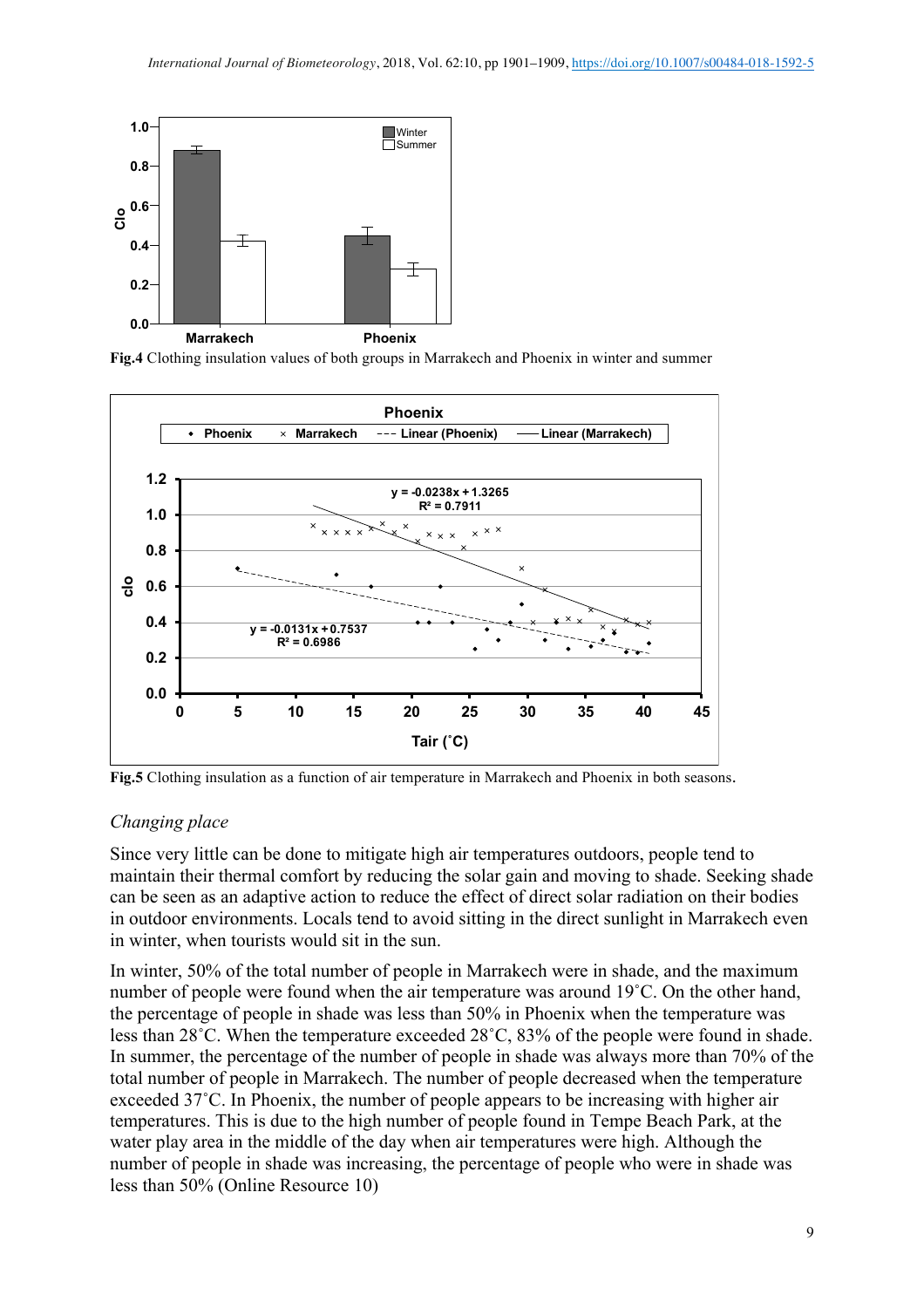

**Fig.4** Clothing insulation values of both groups in Marrakech and Phoenix in winter and summer



**Fig.5** Clothing insulation as a function of air temperature in Marrakech and Phoenix in both seasons.

# *Changing place*

Since very little can be done to mitigate high air temperatures outdoors, people tend to maintain their thermal comfort by reducing the solar gain and moving to shade. Seeking shade can be seen as an adaptive action to reduce the effect of direct solar radiation on their bodies in outdoor environments. Locals tend to avoid sitting in the direct sunlight in Marrakech even in winter, when tourists would sit in the sun.

In winter, 50% of the total number of people in Marrakech were in shade, and the maximum number of people were found when the air temperature was around 19˚C. On the other hand, the percentage of people in shade was less than 50% in Phoenix when the temperature was less than 28˚C. When the temperature exceeded 28˚C, 83% of the people were found in shade. In summer, the percentage of the number of people in shade was always more than 70% of the total number of people in Marrakech. The number of people decreased when the temperature exceeded 37˚C. In Phoenix, the number of people appears to be increasing with higher air temperatures. This is due to the high number of people found in Tempe Beach Park, at the water play area in the middle of the day when air temperatures were high. Although the number of people in shade was increasing, the percentage of people who were in shade was less than 50% (Online Resource 10)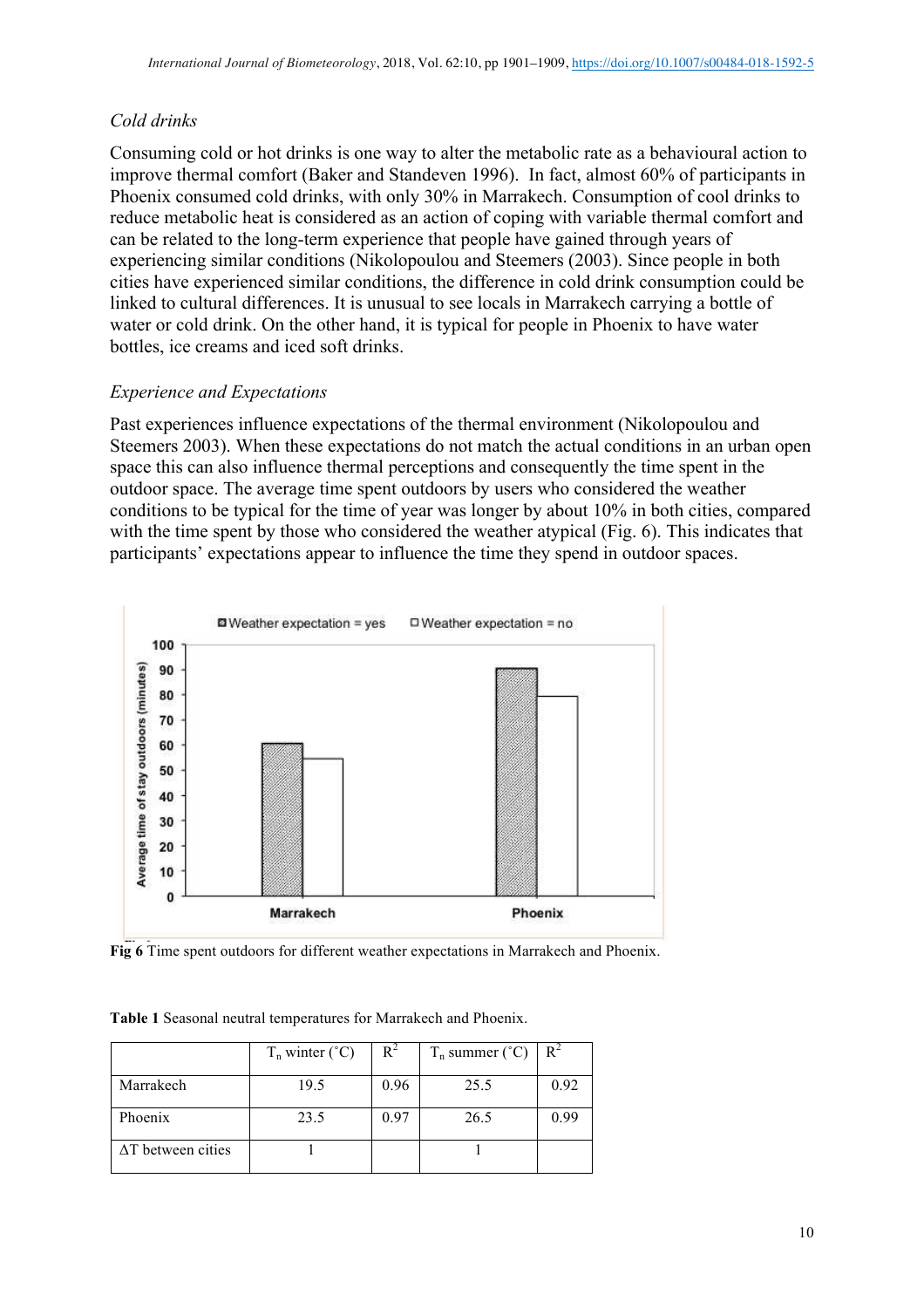# *Cold drinks*

Consuming cold or hot drinks is one way to alter the metabolic rate as a behavioural action to improve thermal comfort (Baker and Standeven 1996). In fact, almost 60% of participants in Phoenix consumed cold drinks, with only 30% in Marrakech. Consumption of cool drinks to reduce metabolic heat is considered as an action of coping with variable thermal comfort and can be related to the long-term experience that people have gained through years of experiencing similar conditions (Nikolopoulou and Steemers (2003). Since people in both cities have experienced similar conditions, the difference in cold drink consumption could be linked to cultural differences. It is unusual to see locals in Marrakech carrying a bottle of water or cold drink. On the other hand, it is typical for people in Phoenix to have water bottles, ice creams and iced soft drinks.

# *Experience and Expectations*

Past experiences influence expectations of the thermal environment (Nikolopoulou and Steemers 2003). When these expectations do not match the actual conditions in an urban open space this can also influence thermal perceptions and consequently the time spent in the outdoor space. The average time spent outdoors by users who considered the weather conditions to be typical for the time of year was longer by about 10% in both cities, compared with the time spent by those who considered the weather atypical (Fig. 6). This indicates that participants' expectations appear to influence the time they spend in outdoor spaces.



**Fig 6** Time spent outdoors for different weather expectations in Marrakech and Phoenix.

**Table 1** Seasonal neutral temperatures for Marrakech and Phoenix.

|                           | $T_n$ winter $(^{\circ}C)$ | $R^2$ | $T_n$ summer ( $°C$ ) |      |
|---------------------------|----------------------------|-------|-----------------------|------|
| Marrakech                 | 19.5                       | 0.96  | 25.5                  | 0.92 |
| Phoenix                   | 23.5                       | 0.97  | 26.5                  | 0.99 |
| $\Delta T$ between cities |                            |       |                       |      |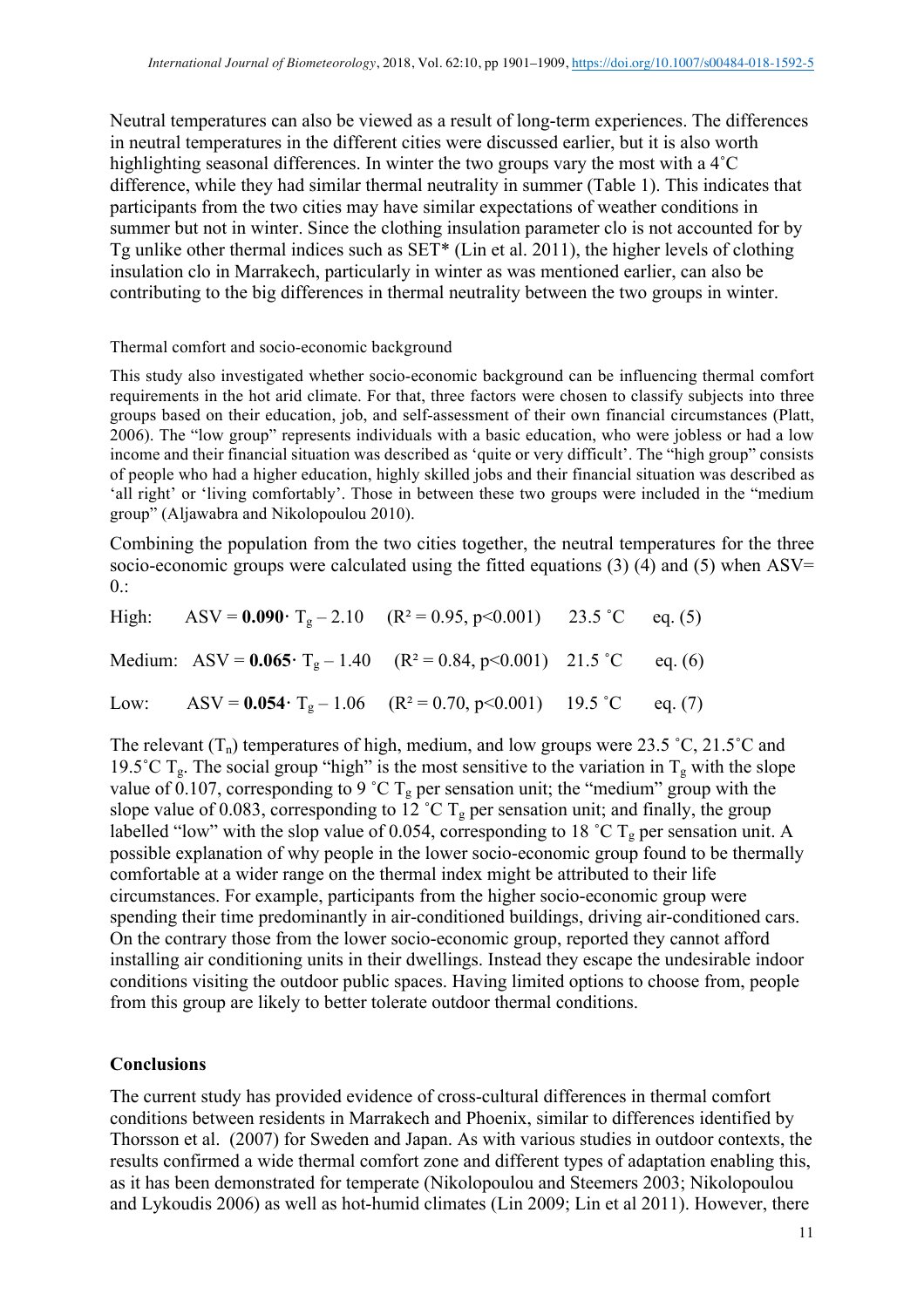Neutral temperatures can also be viewed as a result of long-term experiences. The differences in neutral temperatures in the different cities were discussed earlier, but it is also worth highlighting seasonal differences. In winter the two groups vary the most with a 4˚C difference, while they had similar thermal neutrality in summer (Table 1). This indicates that participants from the two cities may have similar expectations of weather conditions in summer but not in winter. Since the clothing insulation parameter clo is not accounted for by Tg unlike other thermal indices such as SET\* (Lin et al. 2011), the higher levels of clothing insulation clo in Marrakech, particularly in winter as was mentioned earlier, can also be contributing to the big differences in thermal neutrality between the two groups in winter.

Thermal comfort and socio-economic background

This study also investigated whether socio-economic background can be influencing thermal comfort requirements in the hot arid climate. For that, three factors were chosen to classify subjects into three groups based on their education, job, and self-assessment of their own financial circumstances (Platt, 2006). The "low group" represents individuals with a basic education, who were jobless or had a low income and their financial situation was described as 'quite or very difficult'. The "high group" consists of people who had a higher education, highly skilled jobs and their financial situation was described as 'all right' or 'living comfortably'. Those in between these two groups were included in the "medium group" (Aljawabra and Nikolopoulou 2010).

Combining the population from the two cities together, the neutral temperatures for the three socio-economic groups were calculated using the fitted equations  $(3)$  (4) and  $(5)$  when ASV=  $0$ .:

| High: ASV = $0.090 \cdot T_g - 2.10$ (R <sup>2</sup> = 0.95, p<0.001) 23.5 °C eq. (5)          |  |  |
|------------------------------------------------------------------------------------------------|--|--|
| Medium: ASV = $0.065$ · T <sub>g</sub> - 1.40 (R <sup>2</sup> = 0.84, p<0.001) 21.5 °C eq. (6) |  |  |
| Low: ASV = $0.054 \cdot T_g - 1.06$ $(R^2 = 0.70, p < 0.001)$ 19.5 °C eq. (7)                  |  |  |

The relevant  $(T_n)$  temperatures of high, medium, and low groups were 23.5 °C, 21.5°C and 19.5°C  $T_g$ . The social group "high" is the most sensitive to the variation in  $T_g$  with the slope value of  $\tilde{0.107}$ , corresponding to 9 °C T<sub>g</sub> per sensation unit; the "medium" group with the slope value of 0.083, corresponding to  $12^{\circ}$ C T<sub>g</sub> per sensation unit; and finally, the group labelled "low" with the slop value of 0.054, corresponding to 18 °C  $T_g$  per sensation unit. A possible explanation of why people in the lower socio-economic group found to be thermally comfortable at a wider range on the thermal index might be attributed to their life circumstances. For example, participants from the higher socio-economic group were spending their time predominantly in air-conditioned buildings, driving air-conditioned cars. On the contrary those from the lower socio-economic group, reported they cannot afford installing air conditioning units in their dwellings. Instead they escape the undesirable indoor conditions visiting the outdoor public spaces. Having limited options to choose from, people from this group are likely to better tolerate outdoor thermal conditions.

### **Conclusions**

The current study has provided evidence of cross-cultural differences in thermal comfort conditions between residents in Marrakech and Phoenix, similar to differences identified by Thorsson et al. (2007) for Sweden and Japan. As with various studies in outdoor contexts, the results confirmed a wide thermal comfort zone and different types of adaptation enabling this, as it has been demonstrated for temperate (Nikolopoulou and Steemers 2003; Nikolopoulou and Lykoudis 2006) as well as hot-humid climates (Lin 2009; Lin et al 2011). However, there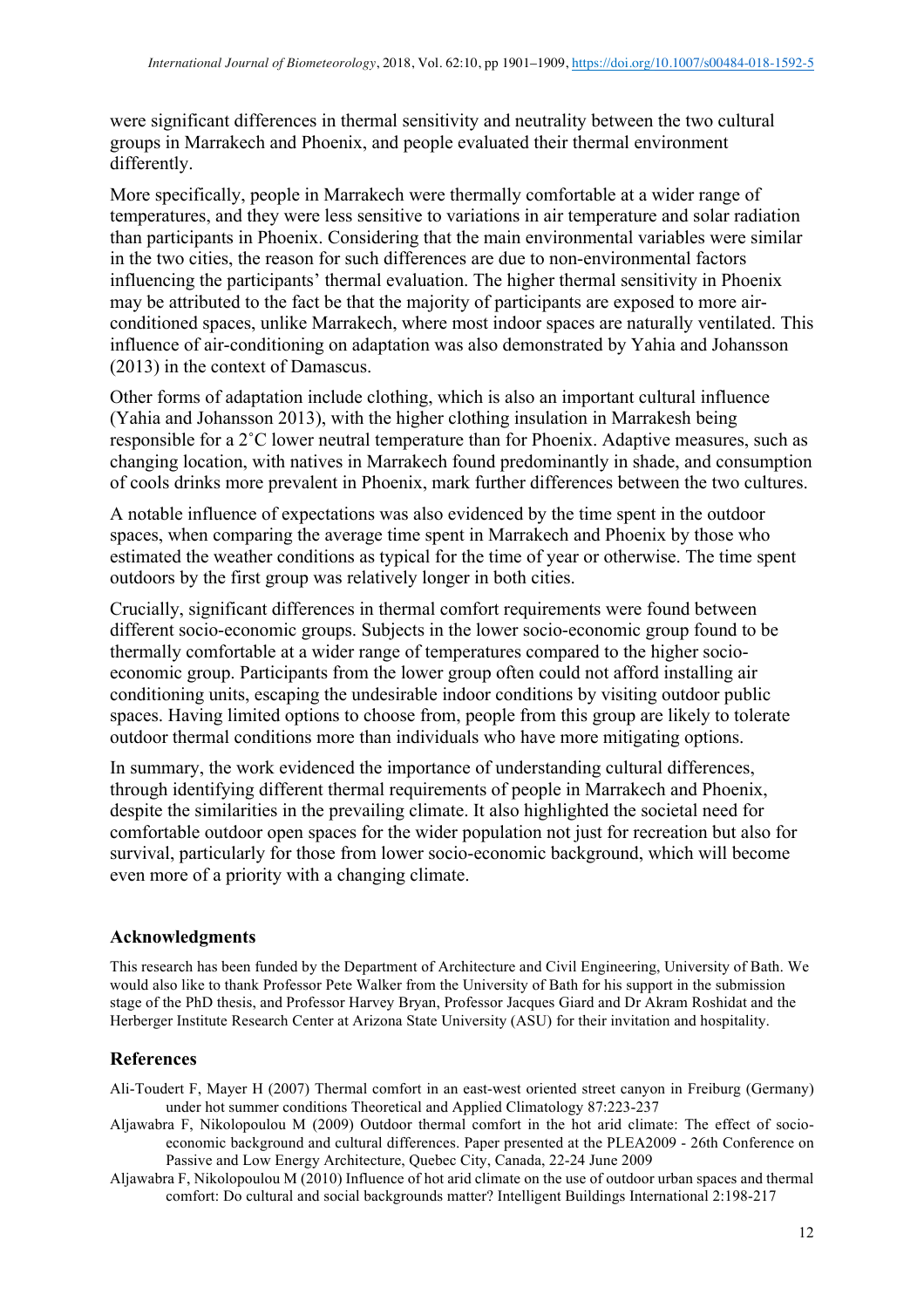were significant differences in thermal sensitivity and neutrality between the two cultural groups in Marrakech and Phoenix, and people evaluated their thermal environment differently.

More specifically, people in Marrakech were thermally comfortable at a wider range of temperatures, and they were less sensitive to variations in air temperature and solar radiation than participants in Phoenix. Considering that the main environmental variables were similar in the two cities, the reason for such differences are due to non-environmental factors influencing the participants' thermal evaluation. The higher thermal sensitivity in Phoenix may be attributed to the fact be that the majority of participants are exposed to more airconditioned spaces, unlike Marrakech, where most indoor spaces are naturally ventilated. This influence of air-conditioning on adaptation was also demonstrated by Yahia and Johansson (2013) in the context of Damascus.

Other forms of adaptation include clothing, which is also an important cultural influence (Yahia and Johansson 2013), with the higher clothing insulation in Marrakesh being responsible for a 2˚C lower neutral temperature than for Phoenix. Adaptive measures, such as changing location, with natives in Marrakech found predominantly in shade, and consumption of cools drinks more prevalent in Phoenix, mark further differences between the two cultures.

A notable influence of expectations was also evidenced by the time spent in the outdoor spaces, when comparing the average time spent in Marrakech and Phoenix by those who estimated the weather conditions as typical for the time of year or otherwise. The time spent outdoors by the first group was relatively longer in both cities.

Crucially, significant differences in thermal comfort requirements were found between different socio-economic groups. Subjects in the lower socio-economic group found to be thermally comfortable at a wider range of temperatures compared to the higher socioeconomic group. Participants from the lower group often could not afford installing air conditioning units, escaping the undesirable indoor conditions by visiting outdoor public spaces. Having limited options to choose from, people from this group are likely to tolerate outdoor thermal conditions more than individuals who have more mitigating options.

In summary, the work evidenced the importance of understanding cultural differences, through identifying different thermal requirements of people in Marrakech and Phoenix, despite the similarities in the prevailing climate. It also highlighted the societal need for comfortable outdoor open spaces for the wider population not just for recreation but also for survival, particularly for those from lower socio-economic background, which will become even more of a priority with a changing climate.

### **Acknowledgments**

This research has been funded by the Department of Architecture and Civil Engineering, University of Bath. We would also like to thank Professor Pete Walker from the University of Bath for his support in the submission stage of the PhD thesis, and Professor Harvey Bryan, Professor Jacques Giard and Dr Akram Roshidat and the Herberger Institute Research Center at Arizona State University (ASU) for their invitation and hospitality.

### **References**

- Ali-Toudert F, Mayer H (2007) Thermal comfort in an east-west oriented street canyon in Freiburg (Germany) under hot summer conditions Theoretical and Applied Climatology 87:223-237
- Aljawabra F, Nikolopoulou M (2009) Outdoor thermal comfort in the hot arid climate: The effect of socioeconomic background and cultural differences. Paper presented at the PLEA2009 - 26th Conference on Passive and Low Energy Architecture, Quebec City, Canada, 22-24 June 2009
- Aljawabra F, Nikolopoulou M (2010) Influence of hot arid climate on the use of outdoor urban spaces and thermal comfort: Do cultural and social backgrounds matter? Intelligent Buildings International 2:198-217